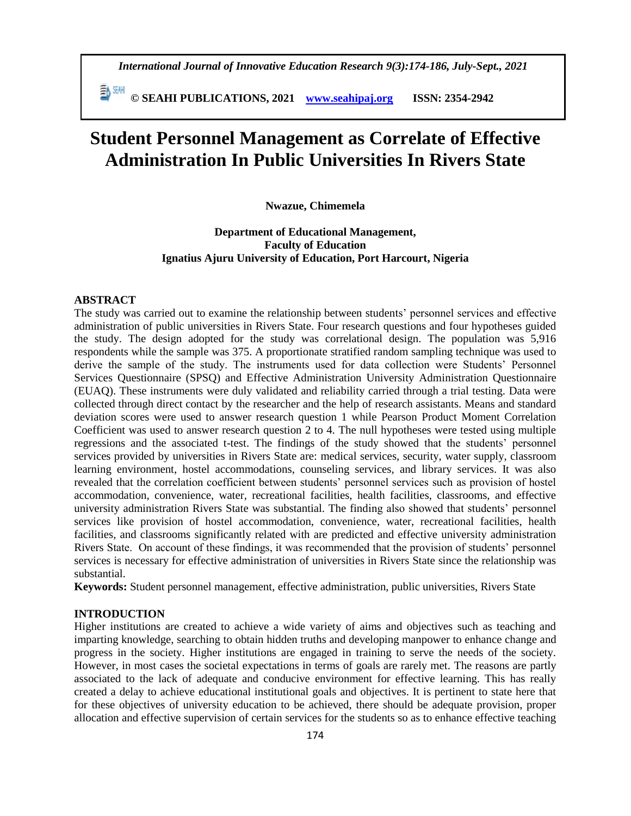*International Journal of Innovative Education Research 9(3):174-186, July-Sept., 2021*

 **© SEAHI PUBLICATIONS, 2021 [www.seahipaj.org](http://www.seahipaj.org/) ISSN: 2354-2942**

# **Student Personnel Management as Correlate of Effective Administration In Public Universities In Rivers State**

## **Nwazue, Chimemela**

# **Department of Educational Management, Faculty of Education Ignatius Ajuru University of Education, Port Harcourt, Nigeria**

# **ABSTRACT**

The study was carried out to examine the relationship between students' personnel services and effective administration of public universities in Rivers State. Four research questions and four hypotheses guided the study. The design adopted for the study was correlational design. The population was 5,916 respondents while the sample was 375. A proportionate stratified random sampling technique was used to derive the sample of the study. The instruments used for data collection were Students' Personnel Services Questionnaire (SPSQ) and Effective Administration University Administration Questionnaire (EUAQ). These instruments were duly validated and reliability carried through a trial testing. Data were collected through direct contact by the researcher and the help of research assistants. Means and standard deviation scores were used to answer research question 1 while Pearson Product Moment Correlation Coefficient was used to answer research question 2 to 4. The null hypotheses were tested using multiple regressions and the associated t-test. The findings of the study showed that the students' personnel services provided by universities in Rivers State are: medical services, security, water supply, classroom learning environment, hostel accommodations, counseling services, and library services. It was also revealed that the correlation coefficient between students' personnel services such as provision of hostel accommodation, convenience, water, recreational facilities, health facilities, classrooms, and effective university administration Rivers State was substantial. The finding also showed that students' personnel services like provision of hostel accommodation, convenience, water, recreational facilities, health facilities, and classrooms significantly related with are predicted and effective university administration Rivers State. On account of these findings, it was recommended that the provision of students' personnel services is necessary for effective administration of universities in Rivers State since the relationship was substantial.

**Keywords:** Student personnel management, effective administration, public universities, Rivers State

# **INTRODUCTION**

Higher institutions are created to achieve a wide variety of aims and objectives such as teaching and imparting knowledge, searching to obtain hidden truths and developing manpower to enhance change and progress in the society. Higher institutions are engaged in training to serve the needs of the society. However, in most cases the societal expectations in terms of goals are rarely met. The reasons are partly associated to the lack of adequate and conducive environment for effective learning. This has really created a delay to achieve educational institutional goals and objectives. It is pertinent to state here that for these objectives of university education to be achieved, there should be adequate provision, proper allocation and effective supervision of certain services for the students so as to enhance effective teaching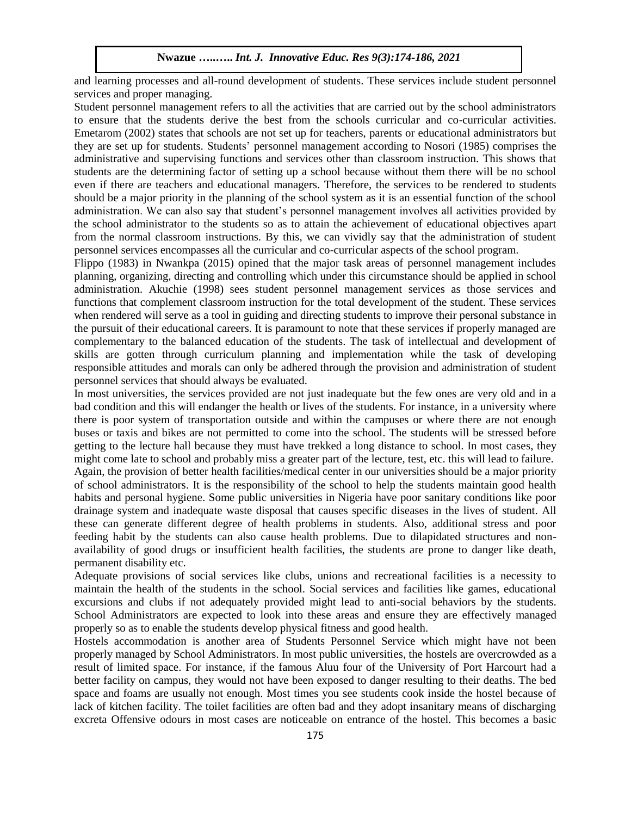and learning processes and all-round development of students. These services include student personnel services and proper managing.

Student personnel management refers to all the activities that are carried out by the school administrators to ensure that the students derive the best from the schools curricular and co-curricular activities. Emetarom (2002) states that schools are not set up for teachers, parents or educational administrators but they are set up for students. Students' personnel management according to Nosori (1985) comprises the administrative and supervising functions and services other than classroom instruction. This shows that students are the determining factor of setting up a school because without them there will be no school even if there are teachers and educational managers. Therefore, the services to be rendered to students should be a major priority in the planning of the school system as it is an essential function of the school administration. We can also say that student's personnel management involves all activities provided by the school administrator to the students so as to attain the achievement of educational objectives apart from the normal classroom instructions. By this, we can vividly say that the administration of student personnel services encompasses all the curricular and co-curricular aspects of the school program.

Flippo (1983) in Nwankpa (2015) opined that the major task areas of personnel management includes planning, organizing, directing and controlling which under this circumstance should be applied in school administration. Akuchie (1998) sees student personnel management services as those services and functions that complement classroom instruction for the total development of the student. These services when rendered will serve as a tool in guiding and directing students to improve their personal substance in the pursuit of their educational careers. It is paramount to note that these services if properly managed are complementary to the balanced education of the students. The task of intellectual and development of skills are gotten through curriculum planning and implementation while the task of developing responsible attitudes and morals can only be adhered through the provision and administration of student personnel services that should always be evaluated.

In most universities, the services provided are not just inadequate but the few ones are very old and in a bad condition and this will endanger the health or lives of the students. For instance, in a university where there is poor system of transportation outside and within the campuses or where there are not enough buses or taxis and bikes are not permitted to come into the school. The students will be stressed before getting to the lecture hall because they must have trekked a long distance to school. In most cases, they might come late to school and probably miss a greater part of the lecture, test, etc. this will lead to failure. Again, the provision of better health facilities/medical center in our universities should be a major priority of school administrators. It is the responsibility of the school to help the students maintain good health habits and personal hygiene. Some public universities in Nigeria have poor sanitary conditions like poor drainage system and inadequate waste disposal that causes specific diseases in the lives of student. All these can generate different degree of health problems in students. Also, additional stress and poor feeding habit by the students can also cause health problems. Due to dilapidated structures and nonavailability of good drugs or insufficient health facilities, the students are prone to danger like death, permanent disability etc.

Adequate provisions of social services like clubs, unions and recreational facilities is a necessity to maintain the health of the students in the school. Social services and facilities like games, educational excursions and clubs if not adequately provided might lead to anti-social behaviors by the students. School Administrators are expected to look into these areas and ensure they are effectively managed properly so as to enable the students develop physical fitness and good health.

Hostels accommodation is another area of Students Personnel Service which might have not been properly managed by School Administrators. In most public universities, the hostels are overcrowded as a result of limited space. For instance, if the famous Aluu four of the University of Port Harcourt had a better facility on campus, they would not have been exposed to danger resulting to their deaths. The bed space and foams are usually not enough. Most times you see students cook inside the hostel because of lack of kitchen facility. The toilet facilities are often bad and they adopt insanitary means of discharging excreta Offensive odours in most cases are noticeable on entrance of the hostel. This becomes a basic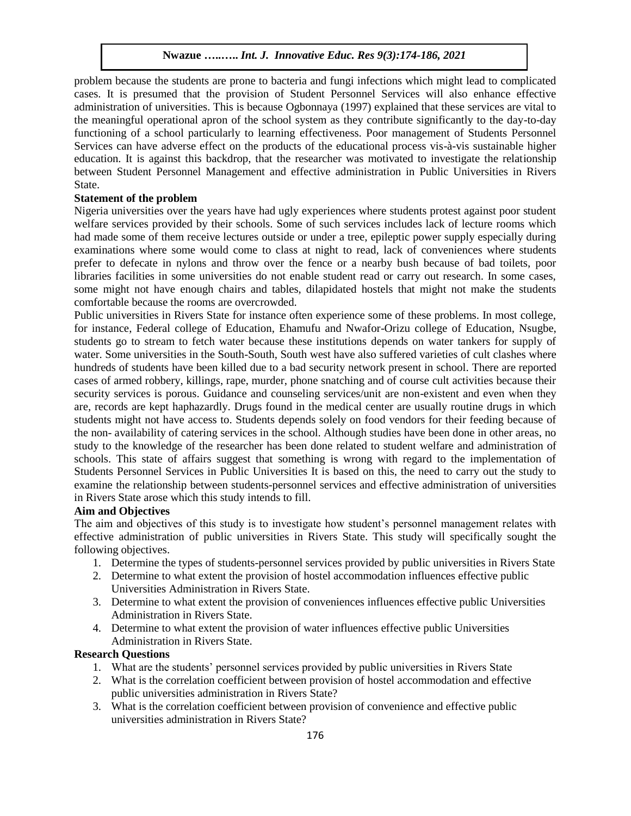problem because the students are prone to bacteria and fungi infections which might lead to complicated cases. It is presumed that the provision of Student Personnel Services will also enhance effective administration of universities. This is because Ogbonnaya (1997) explained that these services are vital to the meaningful operational apron of the school system as they contribute significantly to the day-to-day functioning of a school particularly to learning effectiveness. Poor management of Students Personnel Services can have adverse effect on the products of the educational process vis-à-vis sustainable higher education. It is against this backdrop, that the researcher was motivated to investigate the relationship between Student Personnel Management and effective administration in Public Universities in Rivers State.

# **Statement of the problem**

Nigeria universities over the years have had ugly experiences where students protest against poor student welfare services provided by their schools. Some of such services includes lack of lecture rooms which had made some of them receive lectures outside or under a tree, epileptic power supply especially during examinations where some would come to class at night to read, lack of conveniences where students prefer to defecate in nylons and throw over the fence or a nearby bush because of bad toilets, poor libraries facilities in some universities do not enable student read or carry out research. In some cases, some might not have enough chairs and tables, dilapidated hostels that might not make the students comfortable because the rooms are overcrowded.

Public universities in Rivers State for instance often experience some of these problems. In most college, for instance, Federal college of Education, Ehamufu and Nwafor-Orizu college of Education, Nsugbe, students go to stream to fetch water because these institutions depends on water tankers for supply of water. Some universities in the South-South, South west have also suffered varieties of cult clashes where hundreds of students have been killed due to a bad security network present in school. There are reported cases of armed robbery, killings, rape, murder, phone snatching and of course cult activities because their security services is porous. Guidance and counseling services/unit are non-existent and even when they are, records are kept haphazardly. Drugs found in the medical center are usually routine drugs in which students might not have access to. Students depends solely on food vendors for their feeding because of the non- availability of catering services in the school. Although studies have been done in other areas, no study to the knowledge of the researcher has been done related to student welfare and administration of schools. This state of affairs suggest that something is wrong with regard to the implementation of Students Personnel Services in Public Universities It is based on this, the need to carry out the study to examine the relationship between students-personnel services and effective administration of universities in Rivers State arose which this study intends to fill.

# **Aim and Objectives**

The aim and objectives of this study is to investigate how student's personnel management relates with effective administration of public universities in Rivers State. This study will specifically sought the following objectives.

- 1. Determine the types of students-personnel services provided by public universities in Rivers State
- 2. Determine to what extent the provision of hostel accommodation influences effective public Universities Administration in Rivers State.
- 3. Determine to what extent the provision of conveniences influences effective public Universities Administration in Rivers State.
- 4. Determine to what extent the provision of water influences effective public Universities Administration in Rivers State.

# **Research Questions**

- 1. What are the students' personnel services provided by public universities in Rivers State
- 2. What is the correlation coefficient between provision of hostel accommodation and effective public universities administration in Rivers State?
- 3. What is the correlation coefficient between provision of convenience and effective public universities administration in Rivers State?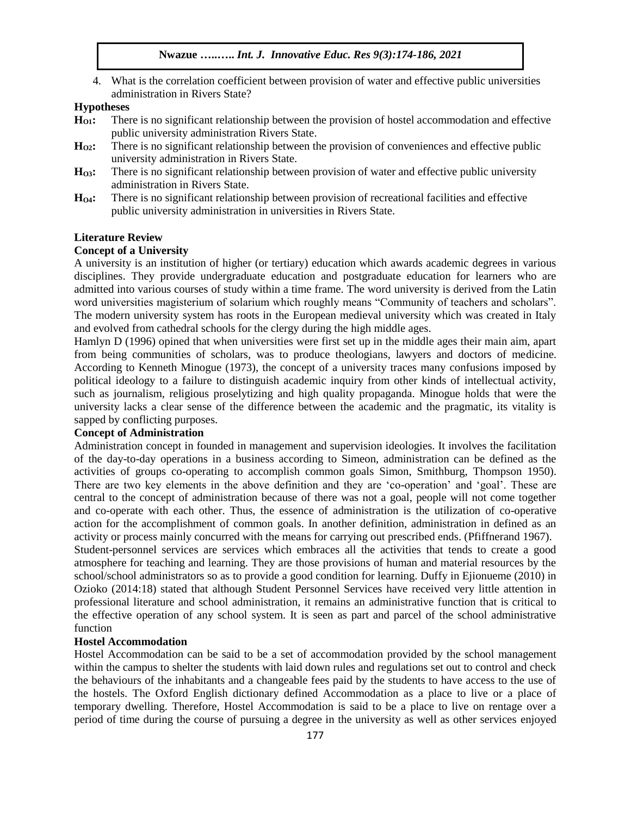4. What is the correlation coefficient between provision of water and effective public universities administration in Rivers State?

## **Hypotheses**

- **HO1:** There is no significant relationship between the provision of hostel accommodation and effective public university administration Rivers State.
- **HO2:** There is no significant relationship between the provision of conveniences and effective public university administration in Rivers State.
- **HO3:** There is no significant relationship between provision of water and effective public university administration in Rivers State.
- **HO4:** There is no significant relationship between provision of recreational facilities and effective public university administration in universities in Rivers State.

# **Literature Review**

## **Concept of a University**

A university is an institution of higher (or tertiary) education which awards academic degrees in various disciplines. They provide undergraduate education and postgraduate education for learners who are admitted into various courses of study within a time frame. The word university is derived from the Latin word universities magisterium of solarium which roughly means "Community of teachers and scholars". The modern university system has roots in the European medieval university which was created in Italy and evolved from cathedral schools for the clergy during the high middle ages.

Hamlyn D (1996) opined that when universities were first set up in the middle ages their main aim, apart from being communities of scholars, was to produce theologians, lawyers and doctors of medicine. According to Kenneth Minogue (1973), the concept of a university traces many confusions imposed by political ideology to a failure to distinguish academic inquiry from other kinds of intellectual activity, such as journalism, religious proselytizing and high quality propaganda. Minogue holds that were the university lacks a clear sense of the difference between the academic and the pragmatic, its vitality is sapped by conflicting purposes.

# **Concept of Administration**

Administration concept in founded in management and supervision ideologies. It involves the facilitation of the day-to-day operations in a business according to Simeon, administration can be defined as the activities of groups co-operating to accomplish common goals Simon, Smithburg, Thompson 1950). There are two key elements in the above definition and they are 'co-operation' and 'goal'. These are central to the concept of administration because of there was not a goal, people will not come together and co-operate with each other. Thus, the essence of administration is the utilization of co-operative action for the accomplishment of common goals. In another definition, administration in defined as an activity or process mainly concurred with the means for carrying out prescribed ends. (Pfiffnerand 1967).

Student-personnel services are services which embraces all the activities that tends to create a good atmosphere for teaching and learning. They are those provisions of human and material resources by the school/school administrators so as to provide a good condition for learning. Duffy in Ejionueme (2010) in Ozioko (2014:18) stated that although Student Personnel Services have received very little attention in professional literature and school administration, it remains an administrative function that is critical to the effective operation of any school system. It is seen as part and parcel of the school administrative function

## **Hostel Accommodation**

Hostel Accommodation can be said to be a set of accommodation provided by the school management within the campus to shelter the students with laid down rules and regulations set out to control and check the behaviours of the inhabitants and a changeable fees paid by the students to have access to the use of the hostels. The Oxford English dictionary defined Accommodation as a place to live or a place of temporary dwelling. Therefore, Hostel Accommodation is said to be a place to live on rentage over a period of time during the course of pursuing a degree in the university as well as other services enjoyed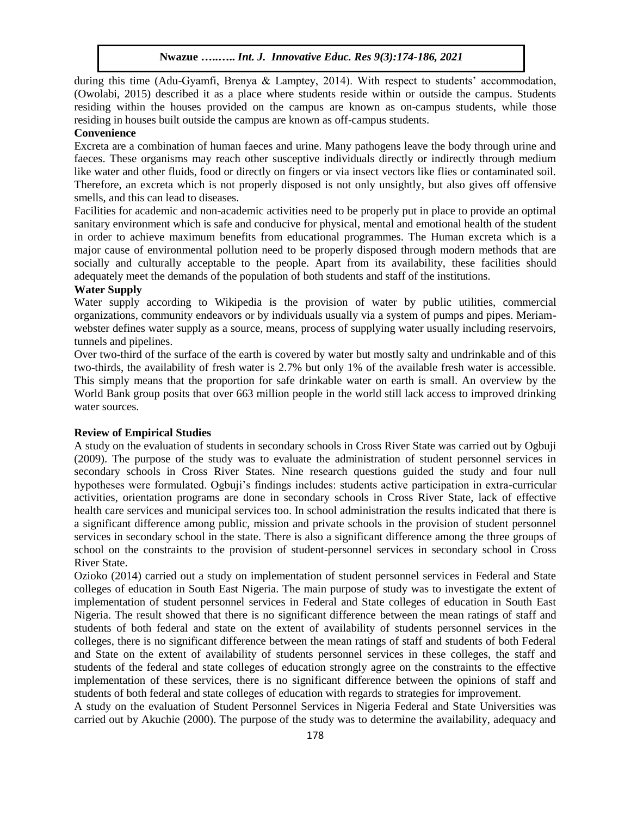during this time (Adu-Gyamfi, Brenya & Lamptey, 2014). With respect to students' accommodation, (Owolabi, 2015) described it as a place where students reside within or outside the campus. Students residing within the houses provided on the campus are known as on-campus students, while those residing in houses built outside the campus are known as off-campus students.

## **Convenience**

Excreta are a combination of human faeces and urine. Many pathogens leave the body through urine and faeces. These organisms may reach other susceptive individuals directly or indirectly through medium like water and other fluids, food or directly on fingers or via insect vectors like flies or contaminated soil. Therefore, an excreta which is not properly disposed is not only unsightly, but also gives off offensive smells, and this can lead to diseases.

Facilities for academic and non-academic activities need to be properly put in place to provide an optimal sanitary environment which is safe and conducive for physical, mental and emotional health of the student in order to achieve maximum benefits from educational programmes. The Human excreta which is a major cause of environmental pollution need to be properly disposed through modern methods that are socially and culturally acceptable to the people. Apart from its availability, these facilities should adequately meet the demands of the population of both students and staff of the institutions.

## **Water Supply**

Water supply according to Wikipedia is the provision of water by public utilities, commercial organizations, community endeavors or by individuals usually via a system of pumps and pipes. Meriamwebster defines water supply as a source, means, process of supplying water usually including reservoirs, tunnels and pipelines.

Over two-third of the surface of the earth is covered by water but mostly salty and undrinkable and of this two-thirds, the availability of fresh water is 2.7% but only 1% of the available fresh water is accessible. This simply means that the proportion for safe drinkable water on earth is small. An overview by the World Bank group posits that over 663 million people in the world still lack access to improved drinking water sources.

#### **Review of Empirical Studies**

A study on the evaluation of students in secondary schools in Cross River State was carried out by Ogbuji (2009). The purpose of the study was to evaluate the administration of student personnel services in secondary schools in Cross River States. Nine research questions guided the study and four null hypotheses were formulated. Ogbuji's findings includes: students active participation in extra-curricular activities, orientation programs are done in secondary schools in Cross River State, lack of effective health care services and municipal services too. In school administration the results indicated that there is a significant difference among public, mission and private schools in the provision of student personnel services in secondary school in the state. There is also a significant difference among the three groups of school on the constraints to the provision of student-personnel services in secondary school in Cross River State.

Ozioko (2014) carried out a study on implementation of student personnel services in Federal and State colleges of education in South East Nigeria. The main purpose of study was to investigate the extent of implementation of student personnel services in Federal and State colleges of education in South East Nigeria. The result showed that there is no significant difference between the mean ratings of staff and students of both federal and state on the extent of availability of students personnel services in the colleges, there is no significant difference between the mean ratings of staff and students of both Federal and State on the extent of availability of students personnel services in these colleges, the staff and students of the federal and state colleges of education strongly agree on the constraints to the effective implementation of these services, there is no significant difference between the opinions of staff and students of both federal and state colleges of education with regards to strategies for improvement.

A study on the evaluation of Student Personnel Services in Nigeria Federal and State Universities was carried out by Akuchie (2000). The purpose of the study was to determine the availability, adequacy and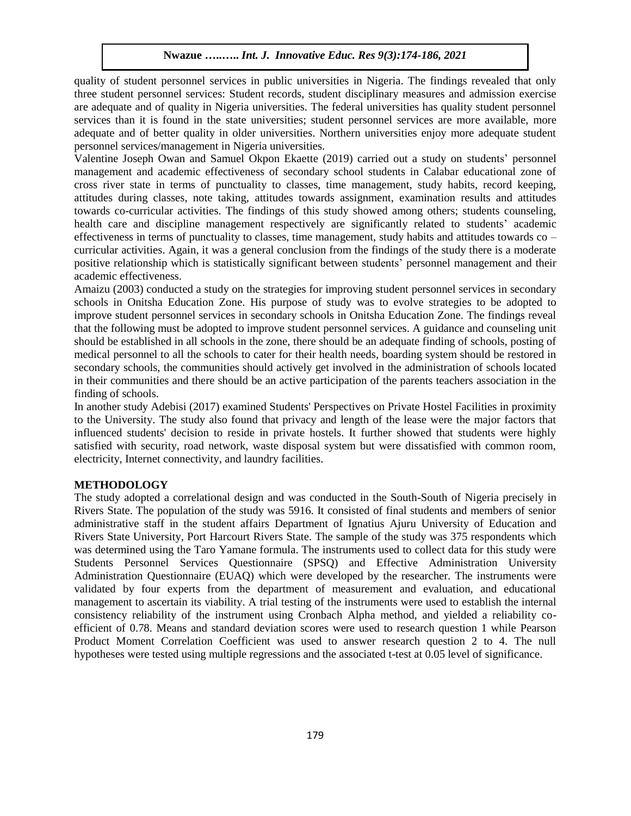quality of student personnel services in public universities in Nigeria. The findings revealed that only three student personnel services: Student records, student disciplinary measures and admission exercise are adequate and of quality in Nigeria universities. The federal universities has quality student personnel services than it is found in the state universities; student personnel services are more available, more adequate and of better quality in older universities. Northern universities enjoy more adequate student personnel services/management in Nigeria universities.

Valentine Joseph Owan and Samuel Okpon Ekaette (2019) carried out a study on students' personnel management and academic effectiveness of secondary school students in Calabar educational zone of cross river state in terms of punctuality to classes, time management, study habits, record keeping, attitudes during classes, note taking, attitudes towards assignment, examination results and attitudes towards co-curricular activities. The findings of this study showed among others; students counseling, health care and discipline management respectively are significantly related to students' academic effectiveness in terms of punctuality to classes, time management, study habits and attitudes towards co – curricular activities. Again, it was a general conclusion from the findings of the study there is a moderate positive relationship which is statistically significant between students' personnel management and their academic effectiveness.

Amaizu (2003) conducted a study on the strategies for improving student personnel services in secondary schools in Onitsha Education Zone. His purpose of study was to evolve strategies to be adopted to improve student personnel services in secondary schools in Onitsha Education Zone. The findings reveal that the following must be adopted to improve student personnel services. A guidance and counseling unit should be established in all schools in the zone, there should be an adequate finding of schools, posting of medical personnel to all the schools to cater for their health needs, boarding system should be restored in secondary schools, the communities should actively get involved in the administration of schools located in their communities and there should be an active participation of the parents teachers association in the finding of schools.

In another study Adebisi (2017) examined Students' Perspectives on Private Hostel Facilities in proximity to the University. The study also found that privacy and length of the lease were the major factors that influenced students' decision to reside in private hostels. It further showed that students were highly satisfied with security, road network, waste disposal system but were dissatisfied with common room, electricity, Internet connectivity, and laundry facilities.

## **METHODOLOGY**

The study adopted a correlational design and was conducted in the South-South of Nigeria precisely in Rivers State. The population of the study was 5916. It consisted of final students and members of senior administrative staff in the student affairs Department of Ignatius Ajuru University of Education and Rivers State University, Port Harcourt Rivers State. The sample of the study was 375 respondents which was determined using the Taro Yamane formula. The instruments used to collect data for this study were Students Personnel Services Questionnaire (SPSQ) and Effective Administration University Administration Questionnaire (EUAQ) which were developed by the researcher. The instruments were validated by four experts from the department of measurement and evaluation, and educational management to ascertain its viability. A trial testing of the instruments were used to establish the internal consistency reliability of the instrument using Cronbach Alpha method, and yielded a reliability coefficient of 0.78. Means and standard deviation scores were used to research question 1 while Pearson Product Moment Correlation Coefficient was used to answer research question 2 to 4. The null hypotheses were tested using multiple regressions and the associated t-test at 0.05 level of significance.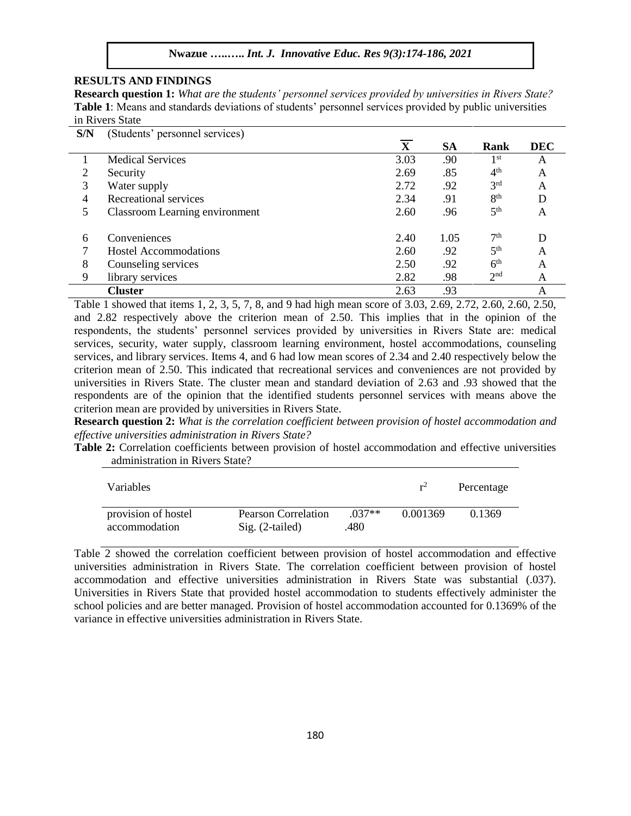# **RESULTS AND FINDINGS**

**Research question 1:** *What are the students' personnel services provided by universities in Rivers State?* **Table 1**: Means and standards deviations of students' personnel services provided by public universities in Rivers State

| S/N | (Students' personnel services) |              |      |                 |            |
|-----|--------------------------------|--------------|------|-----------------|------------|
|     |                                | $\mathbf{X}$ | SА   | Rank            | <b>DEC</b> |
|     | <b>Medical Services</b>        | 3.03         | .90  | 1 <sup>st</sup> | A          |
|     | Security                       | 2.69         | .85  | 4 <sup>th</sup> | A          |
| 3   | Water supply                   | 2.72         | .92  | 3 <sup>rd</sup> | A          |
| 4   | Recreational services          | 2.34         | .91  | 8 <sup>th</sup> | D          |
| 5   | Classroom Learning environment | 2.60         | .96  | 5 <sup>th</sup> | A          |
| 6   | Conveniences                   | 2.40         | 1.05 | 7 <sup>th</sup> | D          |
|     | Hostel Accommodations          | 2.60         | .92  | 5 <sup>th</sup> | A          |
| 8   | Counseling services            | 2.50         | .92  | 6 <sup>th</sup> | А          |
| 9   | library services               | 2.82         | .98  | 2 <sup>nd</sup> | A          |
|     | <b>Cluster</b>                 | 2.63         | .93  |                 | A          |

Table 1 showed that items 1, 2, 3, 5, 7, 8, and 9 had high mean score of 3.03, 2.69, 2.72, 2.60, 2.60, 2.50, and 2.82 respectively above the criterion mean of 2.50. This implies that in the opinion of the respondents, the students' personnel services provided by universities in Rivers State are: medical services, security, water supply, classroom learning environment, hostel accommodations, counseling services, and library services. Items 4, and 6 had low mean scores of 2.34 and 2.40 respectively below the criterion mean of 2.50. This indicated that recreational services and conveniences are not provided by universities in Rivers State. The cluster mean and standard deviation of 2.63 and .93 showed that the respondents are of the opinion that the identified students personnel services with means above the criterion mean are provided by universities in Rivers State.

**Research question 2:** *What is the correlation coefficient between provision of hostel accommodation and effective universities administration in Rivers State?*

**Table 2:** Correlation coefficients between provision of hostel accommodation and effective universities administration in Rivers State?

| Variables                            |                                          |                 | $r^2$    | Percentage |
|--------------------------------------|------------------------------------------|-----------------|----------|------------|
| provision of hostel<br>accommodation | Pearson Correlation<br>$Sig. (2-tailed)$ | $037**$<br>.480 | 0.001369 | 0.1369     |

Table 2 showed the correlation coefficient between provision of hostel accommodation and effective universities administration in Rivers State. The correlation coefficient between provision of hostel accommodation and effective universities administration in Rivers State was substantial (.037). Universities in Rivers State that provided hostel accommodation to students effectively administer the school policies and are better managed. Provision of hostel accommodation accounted for 0.1369% of the variance in effective universities administration in Rivers State.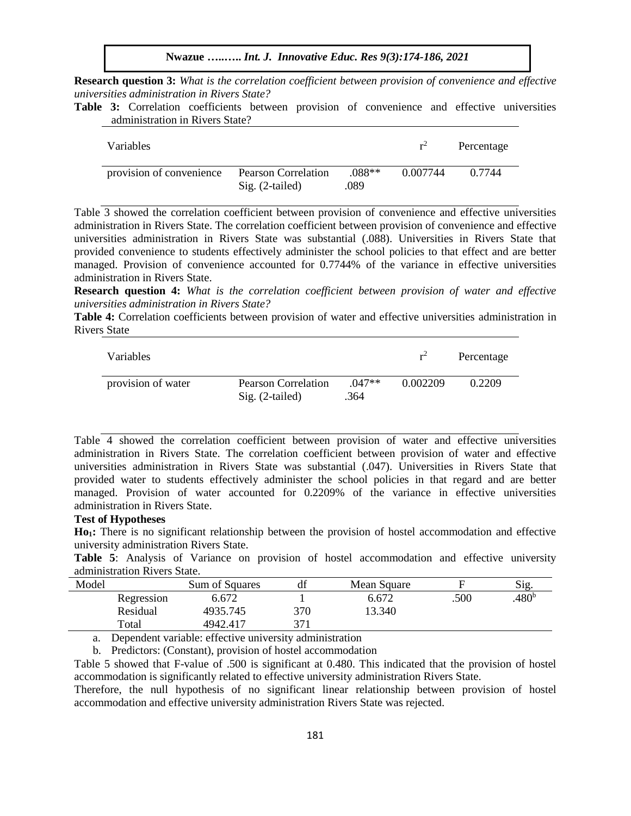**Research question 3:** *What is the correlation coefficient between provision of convenience and effective universities administration in Rivers State?* 

**Table 3:** Correlation coefficients between provision of convenience and effective universities administration in Rivers State?

| <b>Variables</b>         |                                                 |                  | $r^2$    | Percentage |
|--------------------------|-------------------------------------------------|------------------|----------|------------|
| provision of convenience | <b>Pearson Correlation</b><br>$Sig. (2-tailed)$ | $.088**$<br>.089 | 0.007744 | 0.7744     |

Table 3 showed the correlation coefficient between provision of convenience and effective universities administration in Rivers State. The correlation coefficient between provision of convenience and effective universities administration in Rivers State was substantial (.088). Universities in Rivers State that provided convenience to students effectively administer the school policies to that effect and are better managed. Provision of convenience accounted for 0.7744% of the variance in effective universities administration in Rivers State.

**Research question 4:** *What is the correlation coefficient between provision of water and effective universities administration in Rivers State?*

**Table 4:** Correlation coefficients between provision of water and effective universities administration in Rivers State

| Variables          |                                          |                  | $r^2$    | Percentage |
|--------------------|------------------------------------------|------------------|----------|------------|
| provision of water | Pearson Correlation<br>$Sig. (2-tailed)$ | $.047**$<br>.364 | 0.002209 | 0.2209     |

Table 4 showed the correlation coefficient between provision of water and effective universities administration in Rivers State. The correlation coefficient between provision of water and effective universities administration in Rivers State was substantial (.047). Universities in Rivers State that provided water to students effectively administer the school policies in that regard and are better managed. Provision of water accounted for 0.2209% of the variance in effective universities administration in Rivers State.

## **Test of Hypotheses**

**Ho1:** There is no significant relationship between the provision of hostel accommodation and effective university administration Rivers State.

**Table 5**: Analysis of Variance on provision of hostel accommodation and effective university administration Rivers State.

| Model |            | Sum of Squares | df  | Mean Square |      | $\mathrm{Sig}$    |
|-------|------------|----------------|-----|-------------|------|-------------------|
|       | Regression | 6.672          |     | 6.672       | .500 | .480 <sup>b</sup> |
|       | Residual   | 4935.745       | 370 | 13.340      |      |                   |
|       | Total      | 4942.417       | 271 |             |      |                   |

a. Dependent variable: effective university administration

b. Predictors: (Constant), provision of hostel accommodation

Table 5 showed that F-value of .500 is significant at 0.480. This indicated that the provision of hostel accommodation is significantly related to effective university administration Rivers State.

Therefore, the null hypothesis of no significant linear relationship between provision of hostel accommodation and effective university administration Rivers State was rejected.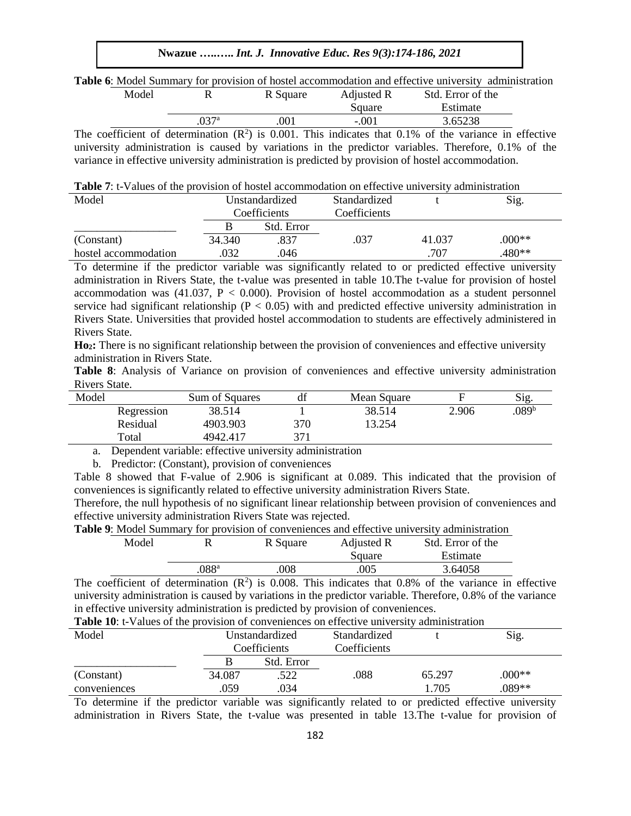**Nwazue …..…..** *Int. J. Innovative Educ. Res 9(3):174-186, 2021*

**Table 6**: Model Summary for provision of hostel accommodation and effective university administration

| Model |     | R Square | Adjusted R | Std. Error of the                                                                                       |  |
|-------|-----|----------|------------|---------------------------------------------------------------------------------------------------------|--|
|       |     |          | Square     | Estimate                                                                                                |  |
|       | 77a | 001      | $-.001$    | 3.65238                                                                                                 |  |
|       |     |          |            | be coefficient of determination $(D^2)$ is 0.001. This indicates that 0.1% of the vertices in effective |  |

The coefficient of determination  $(R^2)$  is 0.001. This indicates that 0.1% of the variance in effective university administration is caused by variations in the predictor variables. Therefore, 0.1% of the variance in effective university administration is predicted by provision of hostel accommodation.

**Table 7**: t-Values of the provision of hostel accommodation on effective university administration

| Model                |        | Unstandardized | Standardized |        | Sig.     |
|----------------------|--------|----------------|--------------|--------|----------|
|                      |        | Coefficients   | Coefficients |        |          |
|                      |        | Std. Error     |              |        |          |
| (Constant)           | 34.340 | .837           | .037         | 41.037 | $0.00**$ |
| hostel accommodation | 032    | .046           |              | 707    | .480**   |

To determine if the predictor variable was significantly related to or predicted effective university administration in Rivers State, the t-value was presented in table 10.The t-value for provision of hostel accommodation was  $(41.037, P < 0.000)$ . Provision of hostel accommodation as a student personnel service had significant relationship ( $P < 0.05$ ) with and predicted effective university administration in Rivers State. Universities that provided hostel accommodation to students are effectively administered in Rivers State.

**Ho2:** There is no significant relationship between the provision of conveniences and effective university administration in Rivers State.

|               |  |  |  |  |  | <b>Table 8:</b> Analysis of Variance on provision of conveniences and effective university administration |
|---------------|--|--|--|--|--|-----------------------------------------------------------------------------------------------------------|
| Rivers State. |  |  |  |  |  |                                                                                                           |

| Model |            | Sum of Squares | df  | Mean Square |       | Sig.             |
|-------|------------|----------------|-----|-------------|-------|------------------|
|       | Regression | 38.514         |     | 38.514      | 2.906 | 089 <sup>b</sup> |
|       | Residual   | 4903.903       | 370 | 13.254      |       |                  |
|       | Total      | 4942.417       | 371 |             |       |                  |

a. Dependent variable: effective university administration

b. Predictor: (Constant), provision of conveniences

Table 8 showed that F-value of 2.906 is significant at 0.089. This indicated that the provision of conveniences is significantly related to effective university administration Rivers State.

Therefore, the null hypothesis of no significant linear relationship between provision of conveniences and effective university administration Rivers State was rejected.

| <b>Table 9:</b> Model Summary for provision of conveniences and effective university administration |  |  |  |  |
|-----------------------------------------------------------------------------------------------------|--|--|--|--|
|-----------------------------------------------------------------------------------------------------|--|--|--|--|

|               | R Square | Adjusted R | Std. Error of the |  |
|---------------|----------|------------|-------------------|--|
|               |          | Square     | Estimate          |  |
| $088^{\rm a}$ | 008      | .005       | 3.64058           |  |
|               |          |            |                   |  |

The coefficient of determination  $(R^2)$  is 0.008. This indicates that 0.8% of the variance in effective university administration is caused by variations in the predictor variable. Therefore, 0.8% of the variance in effective university administration is predicted by provision of conveniences.

| <b>Table 10:</b> t-Values of the provision of conveniences on effective university administration |            |                                |        |          |  |  |  |
|---------------------------------------------------------------------------------------------------|------------|--------------------------------|--------|----------|--|--|--|
|                                                                                                   |            | Standardized                   |        | Sig.     |  |  |  |
|                                                                                                   |            | Coefficients                   |        |          |  |  |  |
|                                                                                                   | Std. Error |                                |        |          |  |  |  |
| 34,087                                                                                            | .522       | .088                           | 65.297 | $0.00**$ |  |  |  |
| .059                                                                                              | .034       |                                | 1.705  | .089**   |  |  |  |
|                                                                                                   |            | Unstandardized<br>Coefficients |        |          |  |  |  |

To determine if the predictor variable was significantly related to or predicted effective university administration in Rivers State, the t-value was presented in table 13.The t-value for provision of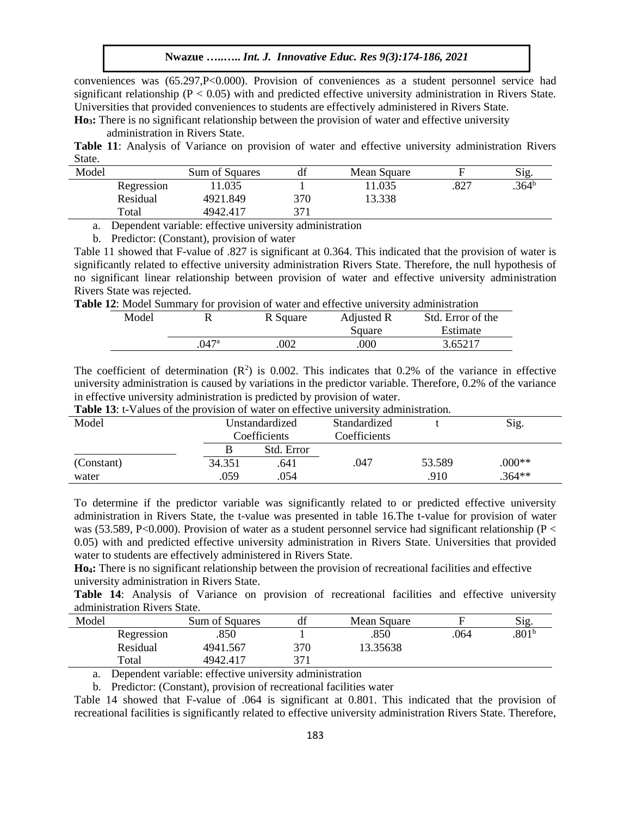conveniences was (65.297,P<0.000). Provision of conveniences as a student personnel service had significant relationship ( $P < 0.05$ ) with and predicted effective university administration in Rivers State. Universities that provided conveniences to students are effectively administered in Rivers State.

**Ho3:** There is no significant relationship between the provision of water and effective university administration in Rivers State.

**Table 11**: Analysis of Variance on provision of water and effective university administration Rivers State.

| Model |            | Sum of Squares | df  | Mean Square |      | Sig.              |
|-------|------------|----------------|-----|-------------|------|-------------------|
|       | Regression | .035           |     | 11.035      | .827 | .364 <sup>b</sup> |
|       | Residual   | 4921.849       | 370 | 13.338      |      |                   |
|       | Total      | 4942.417       | 371 |             |      |                   |

a. Dependent variable: effective university administration

b. Predictor: (Constant), provision of water

Table 11 showed that F-value of .827 is significant at 0.364. This indicated that the provision of water is significantly related to effective university administration Rivers State. Therefore, the null hypothesis of no significant linear relationship between provision of water and effective university administration Rivers State was rejected.

**Table 12**: Model Summary for provision of water and effective university administration

| Model |      | R Square | Adjusted R | Std. Error of the |
|-------|------|----------|------------|-------------------|
|       |      |          | Square     | Estimate          |
|       | 047ª | 002      | .000       | 3.65217           |

The coefficient of determination  $(R^2)$  is 0.002. This indicates that 0.2% of the variance in effective university administration is caused by variations in the predictor variable. Therefore, 0.2% of the variance in effective university administration is predicted by provision of water.

| <b>Table 13:</b> t-Values of the provision of water on effective university administration. |                |            |              |        |          |  |  |
|---------------------------------------------------------------------------------------------|----------------|------------|--------------|--------|----------|--|--|
| Model                                                                                       | Unstandardized |            | Standardized |        | Sig.     |  |  |
|                                                                                             | Coefficients   |            | Coefficients |        |          |  |  |
|                                                                                             |                | Std. Error |              |        |          |  |  |
| (Constant)                                                                                  | 34.351         | .641       | .047         | 53.589 | $0.00**$ |  |  |
| water                                                                                       | .059           | .054       |              | .910   | $.364**$ |  |  |

To determine if the predictor variable was significantly related to or predicted effective university administration in Rivers State, the t-value was presented in table 16.The t-value for provision of water was (53.589, P<0.000). Provision of water as a student personnel service had significant relationship (P  $\lt$ 0.05) with and predicted effective university administration in Rivers State. Universities that provided water to students are effectively administered in Rivers State.

**Ho4:** There is no significant relationship between the provision of recreational facilities and effective university administration in Rivers State.

**Table 14**: Analysis of Variance on provision of recreational facilities and effective university administration Rivers State.

| Model |            | Sum of Squares | df  | Mean Square |      | Sig.              |
|-------|------------|----------------|-----|-------------|------|-------------------|
|       | Regression | .850           |     | .850        | .064 | .801 <sup>b</sup> |
|       | Residual   | 4941.567       | 370 | 13.35638    |      |                   |
|       | Total      | 4942.417       | 371 |             |      |                   |

a. Dependent variable: effective university administration

b. Predictor: (Constant), provision of recreational facilities water

Table 14 showed that F-value of .064 is significant at 0.801. This indicated that the provision of recreational facilities is significantly related to effective university administration Rivers State. Therefore,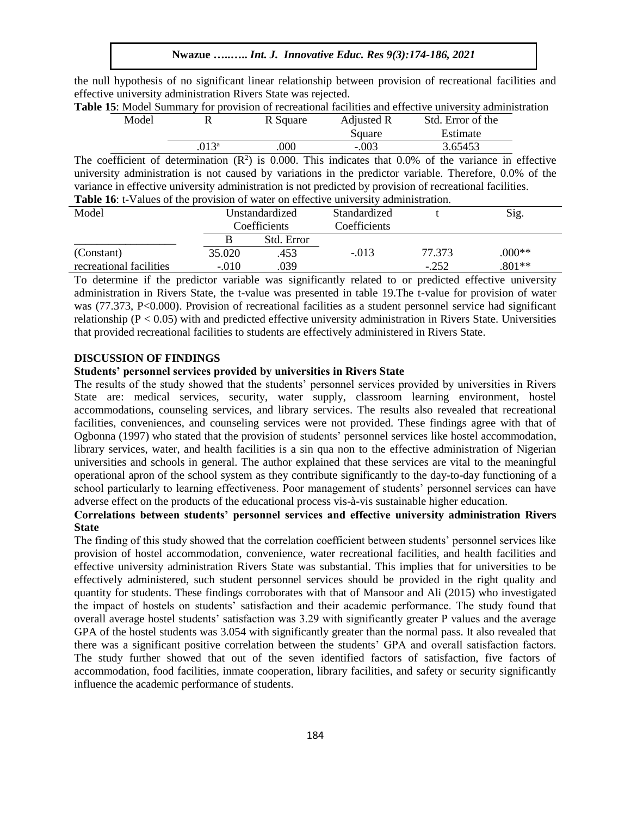the null hypothesis of no significant linear relationship between provision of recreational facilities and effective university administration Rivers State was rejected.

|       |         |          |            | <b>Table 15:</b> Model Summary for provision of recreational facilities and effective university administration |  |
|-------|---------|----------|------------|-----------------------------------------------------------------------------------------------------------------|--|
| Model |         | R Square | Adjusted R | Std. Error of the                                                                                               |  |
|       |         |          | Square     | Estimate                                                                                                        |  |
|       | $013^a$ | .000     | $-.003$    | 3.65453                                                                                                         |  |

The coefficient of determination  $(R^2)$  is 0.000. This indicates that 0.0% of the variance in effective university administration is not caused by variations in the predictor variable. Therefore, 0.0% of the variance in effective university administration is not predicted by provision of recreational facilities. **Table 16**: t-Values of the provision of water on effective university administration.

| Model                   | Unstandardized |              | Standardized |         | Sig.     |
|-------------------------|----------------|--------------|--------------|---------|----------|
|                         |                | Coefficients | Coefficients |         |          |
|                         |                | Std. Error   |              |         |          |
| (Constant)              | 35.020         | .453         | $-.013$      | 77.373  | $0.00**$ |
| recreational facilities | $-.010$        | 039          |              | $-.252$ | $.801**$ |

To determine if the predictor variable was significantly related to or predicted effective university administration in Rivers State, the t-value was presented in table 19.The t-value for provision of water was (77.373, P<0.000). Provision of recreational facilities as a student personnel service had significant relationship ( $P < 0.05$ ) with and predicted effective university administration in Rivers State. Universities that provided recreational facilities to students are effectively administered in Rivers State.

## **DISCUSSION OF FINDINGS**

# **Students' personnel services provided by universities in Rivers State**

The results of the study showed that the students' personnel services provided by universities in Rivers State are: medical services, security, water supply, classroom learning environment, hostel accommodations, counseling services, and library services. The results also revealed that recreational facilities, conveniences, and counseling services were not provided. These findings agree with that of Ogbonna (1997) who stated that the provision of students' personnel services like hostel accommodation, library services, water, and health facilities is a sin qua non to the effective administration of Nigerian universities and schools in general. The author explained that these services are vital to the meaningful operational apron of the school system as they contribute significantly to the day-to-day functioning of a school particularly to learning effectiveness. Poor management of students' personnel services can have adverse effect on the products of the educational process vis-à-vis sustainable higher education.

# **Correlations between students' personnel services and effective university administration Rivers State**

The finding of this study showed that the correlation coefficient between students' personnel services like provision of hostel accommodation, convenience, water recreational facilities, and health facilities and effective university administration Rivers State was substantial. This implies that for universities to be effectively administered, such student personnel services should be provided in the right quality and quantity for students. These findings corroborates with that of Mansoor and Ali (2015) who investigated the impact of hostels on students' satisfaction and their academic performance. The study found that overall average hostel students' satisfaction was 3.29 with significantly greater P values and the average GPA of the hostel students was 3.054 with significantly greater than the normal pass. It also revealed that there was a significant positive correlation between the students' GPA and overall satisfaction factors. The study further showed that out of the seven identified factors of satisfaction, five factors of accommodation, food facilities, inmate cooperation, library facilities, and safety or security significantly influence the academic performance of students.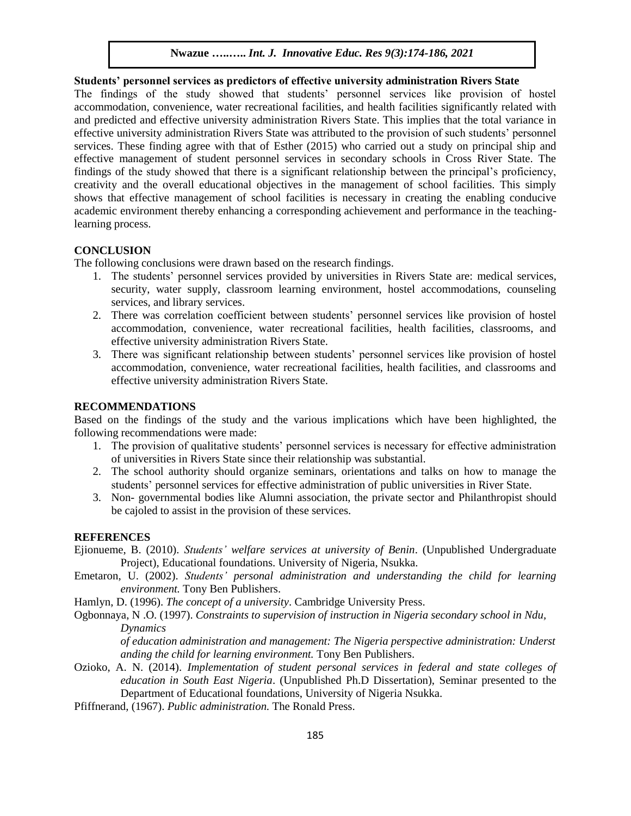# **Students' personnel services as predictors of effective university administration Rivers State**

The findings of the study showed that students' personnel services like provision of hostel accommodation, convenience, water recreational facilities, and health facilities significantly related with and predicted and effective university administration Rivers State. This implies that the total variance in effective university administration Rivers State was attributed to the provision of such students' personnel services. These finding agree with that of Esther (2015) who carried out a study on principal ship and effective management of student personnel services in secondary schools in Cross River State. The findings of the study showed that there is a significant relationship between the principal's proficiency, creativity and the overall educational objectives in the management of school facilities. This simply shows that effective management of school facilities is necessary in creating the enabling conducive academic environment thereby enhancing a corresponding achievement and performance in the teachinglearning process.

## **CONCLUSION**

The following conclusions were drawn based on the research findings.

- 1. The students' personnel services provided by universities in Rivers State are: medical services, security, water supply, classroom learning environment, hostel accommodations, counseling services, and library services.
- 2. There was correlation coefficient between students' personnel services like provision of hostel accommodation, convenience, water recreational facilities, health facilities, classrooms, and effective university administration Rivers State.
- 3. There was significant relationship between students' personnel services like provision of hostel accommodation, convenience, water recreational facilities, health facilities, and classrooms and effective university administration Rivers State.

## **RECOMMENDATIONS**

Based on the findings of the study and the various implications which have been highlighted, the following recommendations were made:

- 1. The provision of qualitative students' personnel services is necessary for effective administration of universities in Rivers State since their relationship was substantial.
- 2. The school authority should organize seminars, orientations and talks on how to manage the students' personnel services for effective administration of public universities in River State.
- 3. Non- governmental bodies like Alumni association, the private sector and Philanthropist should be cajoled to assist in the provision of these services.

#### **REFERENCES**

- Ejionueme, B. (2010). *Students' welfare services at university of Benin*. (Unpublished Undergraduate Project), Educational foundations. University of Nigeria, Nsukka.
- Emetaron, U. (2002). *Students' personal administration and understanding the child for learning environment.* Tony Ben Publishers.

Hamlyn, D. (1996). *The concept of a university*. Cambridge University Press.

Ogbonnaya, N .O. (1997). *Constraints to supervision of instruction in Nigeria secondary school in Ndu, Dynamics* 

*of education administration and management: The Nigeria perspective administration: Underst anding the child for learning environment.* Tony Ben Publishers.

- Ozioko, A. N. (2014). *Implementation of student personal services in federal and state colleges of education in South East Nigeria*. (Unpublished Ph.D Dissertation), Seminar presented to the Department of Educational foundations, University of Nigeria Nsukka.
- Pfiffnerand, (1967). *Public administration.* The Ronald Press.